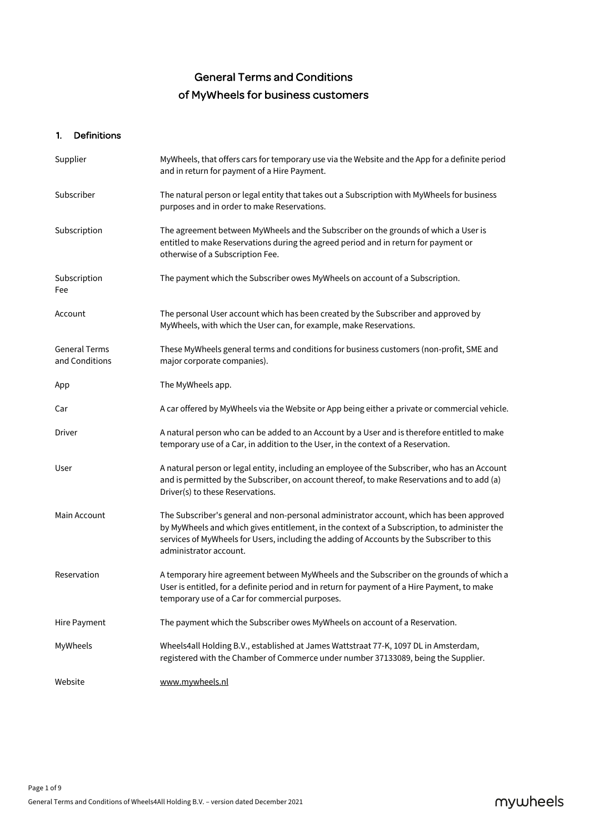# General Terms and Conditions of MyWheels for business customers

# 1. Definitions

| Supplier                               | MyWheels, that offers cars for temporary use via the Website and the App for a definite period<br>and in return for payment of a Hire Payment.                                                                                                                                                                   |
|----------------------------------------|------------------------------------------------------------------------------------------------------------------------------------------------------------------------------------------------------------------------------------------------------------------------------------------------------------------|
| Subscriber                             | The natural person or legal entity that takes out a Subscription with MyWheels for business<br>purposes and in order to make Reservations.                                                                                                                                                                       |
| Subscription                           | The agreement between MyWheels and the Subscriber on the grounds of which a User is<br>entitled to make Reservations during the agreed period and in return for payment or<br>otherwise of a Subscription Fee.                                                                                                   |
| Subscription<br>Fee                    | The payment which the Subscriber owes MyWheels on account of a Subscription.                                                                                                                                                                                                                                     |
| Account                                | The personal User account which has been created by the Subscriber and approved by<br>MyWheels, with which the User can, for example, make Reservations.                                                                                                                                                         |
| <b>General Terms</b><br>and Conditions | These MyWheels general terms and conditions for business customers (non-profit, SME and<br>major corporate companies).                                                                                                                                                                                           |
| App                                    | The MyWheels app.                                                                                                                                                                                                                                                                                                |
| Car                                    | A car offered by MyWheels via the Website or App being either a private or commercial vehicle.                                                                                                                                                                                                                   |
| Driver                                 | A natural person who can be added to an Account by a User and is therefore entitled to make<br>temporary use of a Car, in addition to the User, in the context of a Reservation.                                                                                                                                 |
| User                                   | A natural person or legal entity, including an employee of the Subscriber, who has an Account<br>and is permitted by the Subscriber, on account thereof, to make Reservations and to add (a)<br>Driver(s) to these Reservations.                                                                                 |
| Main Account                           | The Subscriber's general and non-personal administrator account, which has been approved<br>by MyWheels and which gives entitlement, in the context of a Subscription, to administer the<br>services of MyWheels for Users, including the adding of Accounts by the Subscriber to this<br>administrator account. |
| Reservation                            | A temporary hire agreement between MyWheels and the Subscriber on the grounds of which a<br>User is entitled, for a definite period and in return for payment of a Hire Payment, to make<br>temporary use of a Car for commercial purposes.                                                                      |
| Hire Payment                           | The payment which the Subscriber owes MyWheels on account of a Reservation.                                                                                                                                                                                                                                      |
| MyWheels                               | Wheels4all Holding B.V., established at James Wattstraat 77-K, 1097 DL in Amsterdam,<br>registered with the Chamber of Commerce under number 37133089, being the Supplier.                                                                                                                                       |
| Website                                | www.mywheels.nl                                                                                                                                                                                                                                                                                                  |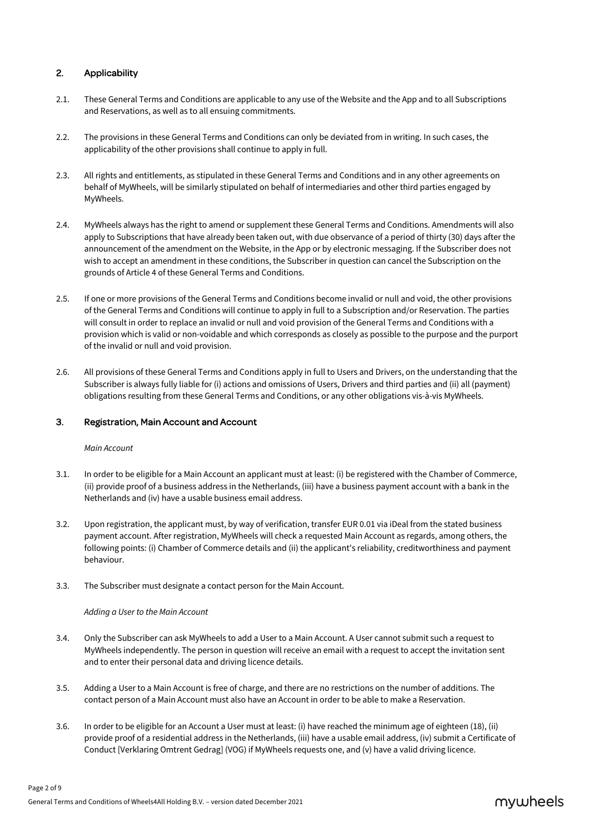# 2. Applicability

- 2.1. These General Terms and Conditions are applicable to any use of the Website and the App and to all Subscriptions and Reservations, as well as to all ensuing commitments.
- 2.2. The provisions in these General Terms and Conditions can only be deviated from in writing. In such cases, the applicability of the other provisions shall continue to apply in full.
- 2.3. All rights and entitlements, as stipulated in these General Terms and Conditions and in any other agreements on behalf of MyWheels, will be similarly stipulated on behalf of intermediaries and other third parties engaged by MyWheels.
- 2.4. MyWheels always has the right to amend or supplement these General Terms and Conditions. Amendments will also apply to Subscriptions that have already been taken out, with due observance of a period of thirty (30) days after the announcement of the amendment on the Website, in the App or by electronic messaging. If the Subscriber does not wish to accept an amendment in these conditions, the Subscriber in question can cancel the Subscription on the grounds of Article 4 of these General Terms and Conditions.
- 2.5. If one or more provisions of the General Terms and Conditions become invalid or null and void, the other provisions of the General Terms and Conditions will continue to apply in full to a Subscription and/or Reservation. The parties will consult in order to replace an invalid or null and void provision of the General Terms and Conditions with a provision which is valid or non-voidable and which corresponds as closely as possible to the purpose and the purport of the invalid or null and void provision.
- 2.6. All provisions of these General Terms and Conditions apply in full to Users and Drivers, on the understanding that the Subscriber is always fully liable for (i) actions and omissions of Users, Drivers and third parties and (ii) all (payment) obligations resulting from these General Terms and Conditions, or any other obligations vis-à-vis MyWheels.

# 3. Registration, Main Account and Account

#### *Main Account*

- 3.1. In order to be eligible for a Main Account an applicant must at least: (i) be registered with the Chamber of Commerce, (ii) provide proof of a business address in the Netherlands, (iii) have a business payment account with a bank in the Netherlands and (iv) have a usable business email address.
- 3.2. Upon registration, the applicant must, by way of verification, transfer EUR 0.01 via iDeal from the stated business payment account. After registration, MyWheels will check a requested Main Account as regards, among others, the following points: (i) Chamber of Commerce details and (ii) the applicant's reliability, creditworthiness and payment behaviour.
- 3.3. The Subscriber must designate a contact person for the Main Account.

#### *Adding a User to the Main Account*

- 3.4. Only the Subscriber can ask MyWheels to add a User to a Main Account. A User cannot submit such a request to MyWheels independently. The person in question will receive an email with a request to accept the invitation sent and to enter their personal data and driving licence details.
- 3.5. Adding a User to a Main Account is free of charge, and there are no restrictions on the number of additions. The contact person of a Main Account must also have an Account in order to be able to make a Reservation.
- 3.6. In order to be eligible for an Account a User must at least: (i) have reached the minimum age of eighteen (18), (ii) provide proof of a residential address in the Netherlands, (iii) have a usable email address, (iv) submit a Certificate of Conduct [Verklaring Omtrent Gedrag] (VOG) if MyWheels requests one, and (v) have a valid driving licence.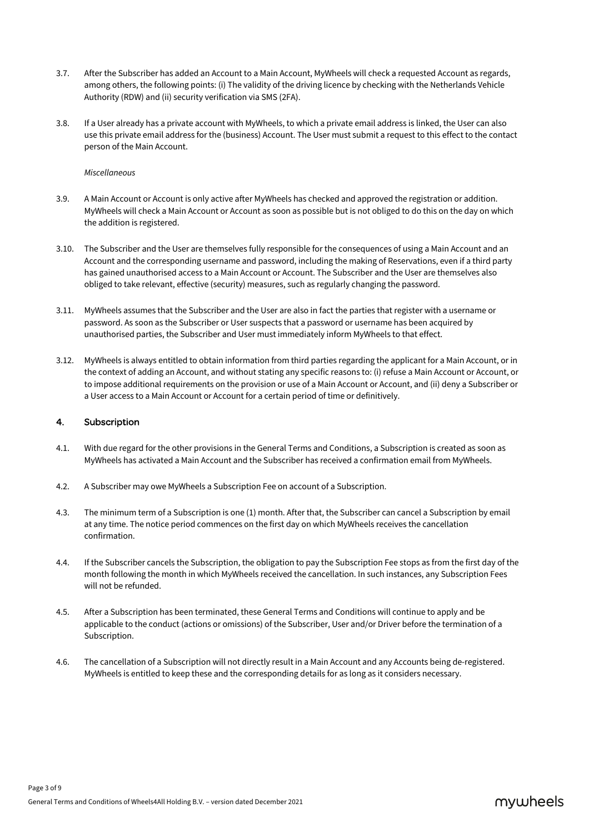- 3.7. After the Subscriber has added an Account to a Main Account, MyWheels will check a requested Account as regards, among others, the following points: (i) The validity of the driving licence by checking with the Netherlands Vehicle Authority (RDW) and (ii) security verification via SMS (2FA).
- 3.8. If a User already has a private account with MyWheels, to which a private email address is linked, the User can also use this private email address for the (business) Account. The User must submit a request to this effect to the contact person of the Main Account.

#### *Miscellaneous*

- 3.9. A Main Account or Account is only active after MyWheels has checked and approved the registration or addition. MyWheels will check a Main Account or Account as soon as possible but is not obliged to do this on the day on which the addition is registered.
- 3.10. The Subscriber and the User are themselves fully responsible for the consequences of using a Main Account and an Account and the corresponding username and password, including the making of Reservations, even if a third party has gained unauthorised access to a Main Account or Account. The Subscriber and the User are themselves also obliged to take relevant, effective (security) measures, such as regularly changing the password.
- 3.11. MyWheels assumes that the Subscriber and the User are also in fact the parties that register with a username or password. As soon as the Subscriber or User suspects that a password or username has been acquired by unauthorised parties, the Subscriber and User must immediately inform MyWheels to that effect.
- 3.12. MyWheels is always entitled to obtain information from third parties regarding the applicant for a Main Account, or in the context of adding an Account, and without stating any specific reasons to: (i) refuse a Main Account or Account, or to impose additional requirements on the provision or use of a Main Account or Account, and (ii) deny a Subscriber or a User access to a Main Account or Account for a certain period of time or definitively.

# 4. Subscription

- 4.1. With due regard for the other provisions in the General Terms and Conditions, a Subscription is created as soon as MyWheels has activated a Main Account and the Subscriber has received a confirmation email from MyWheels.
- 4.2. A Subscriber may owe MyWheels a Subscription Fee on account of a Subscription.
- 4.3. The minimum term of a Subscription is one (1) month. After that, the Subscriber can cancel a Subscription by email at any time. The notice period commences on the first day on which MyWheels receives the cancellation confirmation.
- 4.4. If the Subscriber cancels the Subscription, the obligation to pay the Subscription Fee stops as from the first day of the month following the month in which MyWheels received the cancellation. In such instances, any Subscription Fees will not be refunded.
- 4.5. After a Subscription has been terminated, these General Terms and Conditions will continue to apply and be applicable to the conduct (actions or omissions) of the Subscriber, User and/or Driver before the termination of a Subscription.
- 4.6. The cancellation of a Subscription will not directly result in a Main Account and any Accounts being de-registered. MyWheels is entitled to keep these and the corresponding details for as long as it considers necessary.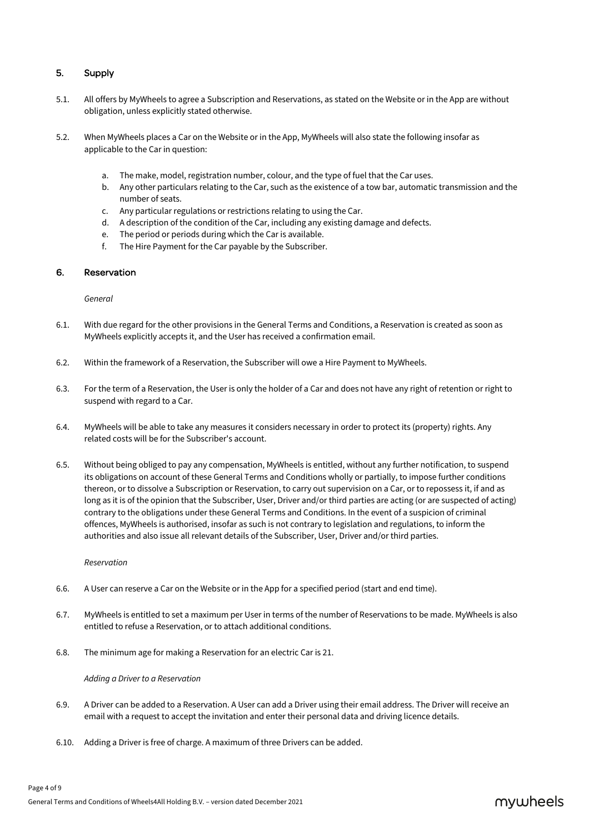# 5. Supply

- 5.1. All offers by MyWheels to agree a Subscription and Reservations, as stated on the Website or in the App are without obligation, unless explicitly stated otherwise.
- 5.2. When MyWheels places a Car on the Website or in the App, MyWheels will also state the following insofar as applicable to the Car in question:
	- a. The make, model, registration number, colour, and the type of fuel that the Car uses.
	- b. Any other particulars relating to the Car, such as the existence of a tow bar, automatic transmission and the number of seats.
	- c. Any particular regulations or restrictions relating to using the Car.
	- d. A description of the condition of the Car, including any existing damage and defects.
	- e. The period or periods during which the Car is available.
	- f. The Hire Payment for the Car payable by the Subscriber.

# 6. Reservation

*General*

- 6.1. With due regard for the other provisions in the General Terms and Conditions, a Reservation is created as soon as MyWheels explicitly accepts it, and the User has received a confirmation email.
- 6.2. Within the framework of a Reservation, the Subscriber will owe a Hire Payment to MyWheels.
- 6.3. For the term of a Reservation, the User is only the holder of a Car and does not have any right of retention or right to suspend with regard to a Car.
- 6.4. MyWheels will be able to take any measures it considers necessary in order to protect its (property) rights. Any related costs will be for the Subscriber's account.
- 6.5. Without being obliged to pay any compensation, MyWheels is entitled, without any further notification, to suspend its obligations on account of these General Terms and Conditions wholly or partially, to impose further conditions thereon, or to dissolve a Subscription or Reservation, to carry out supervision on a Car, or to repossess it, if and as long as it is of the opinion that the Subscriber, User, Driver and/or third parties are acting (or are suspected of acting) contrary to the obligations under these General Terms and Conditions. In the event of a suspicion of criminal offences, MyWheels is authorised, insofar as such is not contrary to legislation and regulations, to inform the authorities and also issue all relevant details of the Subscriber, User, Driver and/or third parties.

#### *Reservation*

- 6.6. A User can reserve a Car on the Website or in the App for a specified period (start and end time).
- 6.7. MyWheels is entitled to set a maximum per User in terms of the number of Reservations to be made. MyWheels is also entitled to refuse a Reservation, or to attach additional conditions.
- 6.8. The minimum age for making a Reservation for an electric Car is 21.

*Adding a Driver to a Reservation*

- 6.9. A Driver can be added to a Reservation. A User can add a Driver using their email address. The Driver will receive an email with a request to accept the invitation and enter their personal data and driving licence details.
- 6.10. Adding a Driver is free of charge. A maximum of three Drivers can be added.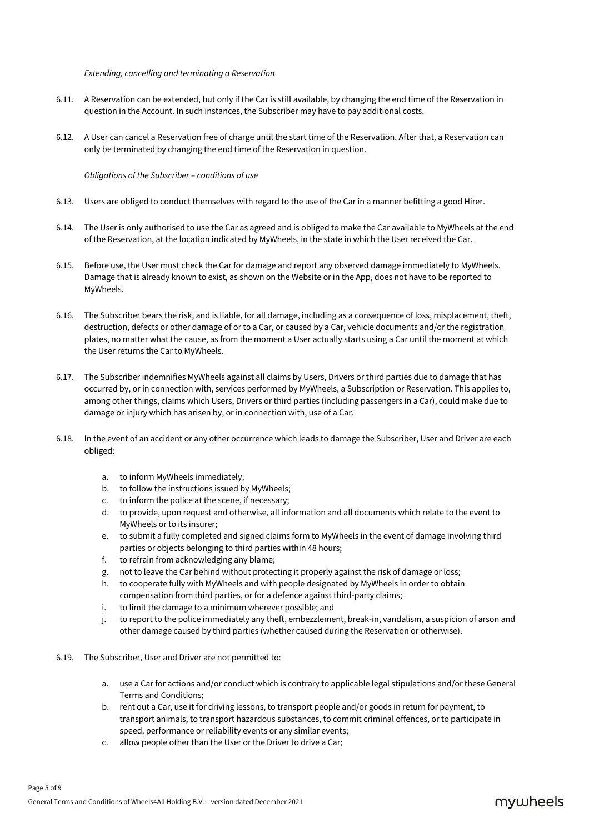*Extending, cancelling and terminating a Reservation* 

- 6.11. A Reservation can be extended, but only if the Car is still available, by changing the end time of the Reservation in question in the Account. In such instances, the Subscriber may have to pay additional costs.
- 6.12. A User can cancel a Reservation free of charge until the start time of the Reservation. After that, a Reservation can only be terminated by changing the end time of the Reservation in question.

*Obligations of the Subscriber – conditions of use* 

- 6.13. Users are obliged to conduct themselves with regard to the use of the Car in a manner befitting a good Hirer.
- 6.14. The User is only authorised to use the Car as agreed and is obliged to make the Car available to MyWheels at the end of the Reservation, at the location indicated by MyWheels, in the state in which the User received the Car.
- 6.15. Before use, the User must check the Car for damage and report any observed damage immediately to MyWheels. Damage that is already known to exist, as shown on the Website or in the App, does not have to be reported to MyWheels.
- 6.16. The Subscriber bears the risk, and is liable, for all damage, including as a consequence of loss, misplacement, theft, destruction, defects or other damage of or to a Car, or caused by a Car, vehicle documents and/or the registration plates, no matter what the cause, as from the moment a User actually starts using a Car until the moment at which the User returns the Car to MyWheels.
- 6.17. The Subscriber indemnifies MyWheels against all claims by Users, Drivers or third parties due to damage that has occurred by, or in connection with, services performed by MyWheels, a Subscription or Reservation. This applies to, among other things, claims which Users, Drivers or third parties (including passengers in a Car), could make due to damage or injury which has arisen by, or in connection with, use of a Car.
- 6.18. In the event of an accident or any other occurrence which leads to damage the Subscriber, User and Driver are each obliged:
	- a. to inform MyWheels immediately;
	- b. to follow the instructions issued by MyWheels;
	- c. to inform the police at the scene, if necessary;
	- d. to provide, upon request and otherwise, all information and all documents which relate to the event to MyWheels or to its insurer;
	- e. to submit a fully completed and signed claims form to MyWheels in the event of damage involving third parties or objects belonging to third parties within 48 hours;
	- f. to refrain from acknowledging any blame;
	- g. not to leave the Car behind without protecting it properly against the risk of damage or loss;
	- h. to cooperate fully with MyWheels and with people designated by MyWheels in order to obtain compensation from third parties, or for a defence against third-party claims;
	- i. to limit the damage to a minimum wherever possible; and
	- j. to report to the police immediately any theft, embezzlement, break-in, vandalism, a suspicion of arson and other damage caused by third parties (whether caused during the Reservation or otherwise).
- 6.19. The Subscriber, User and Driver are not permitted to:
	- a. use a Car for actions and/or conduct which is contrary to applicable legal stipulations and/or these General Terms and Conditions;
	- b. rent out a Car, use it for driving lessons, to transport people and/or goods in return for payment, to transport animals, to transport hazardous substances, to commit criminal offences, or to participate in speed, performance or reliability events or any similar events;
	- c. allow people other than the User or the Driver to drive a Car;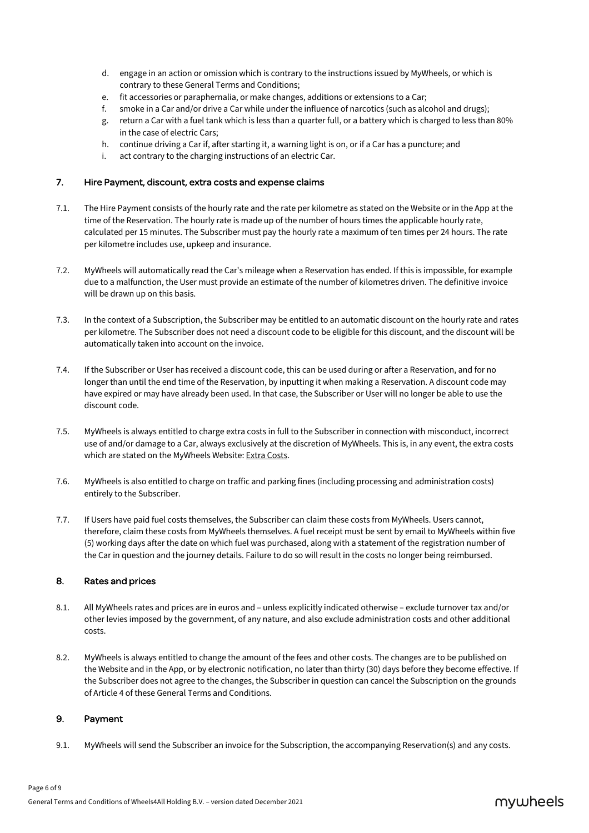- d. engage in an action or omission which is contrary to the instructions issued by MyWheels, or which is contrary to these General Terms and Conditions;
- e. fit accessories or paraphernalia, or make changes, additions or extensions to a Car;
- f. smoke in a Car and/or drive a Car while under the influence of narcotics (such as alcohol and drugs);
- g. return a Car with a fuel tank which is less than a quarter full, or a battery which is charged to less than 80% in the case of electric Cars;
- h. continue driving a Car if, after starting it, a warning light is on, or if a Car has a puncture; and
- i. act contrary to the charging instructions of an electric Car.

# 7. Hire Payment, discount, extra costs and expense claims

- 7.1. The Hire Payment consists of the hourly rate and the rate per kilometre as stated on the Website or in the App at the time of the Reservation. The hourly rate is made up of the number of hours times the applicable hourly rate, calculated per 15 minutes. The Subscriber must pay the hourly rate a maximum of ten times per 24 hours. The rate per kilometre includes use, upkeep and insurance.
- 7.2. MyWheels will automatically read the Car's mileage when a Reservation has ended. If this is impossible, for example due to a malfunction, the User must provide an estimate of the number of kilometres driven. The definitive invoice will be drawn up on this basis.
- 7.3. In the context of a Subscription, the Subscriber may be entitled to an automatic discount on the hourly rate and rates per kilometre. The Subscriber does not need a discount code to be eligible for this discount, and the discount will be automatically taken into account on the invoice.
- 7.4. If the Subscriber or User has received a discount code, this can be used during or after a Reservation, and for no longer than until the end time of the Reservation, by inputting it when making a Reservation. A discount code may have expired or may have already been used. In that case, the Subscriber or User will no longer be able to use the discount code.
- 7.5. MyWheels is always entitled to charge extra costs in full to the Subscriber in connection with misconduct, incorrect use of and/or damage to a Car, always exclusively at the discretion of MyWheels. This is, in any event, the extra costs which are stated on the MyWheels Website: Extra Costs.
- 7.6. MyWheels is also entitled to charge on traffic and parking fines (including processing and administration costs) entirely to the Subscriber.
- 7.7. If Users have paid fuel costs themselves, the Subscriber can claim these costs from MyWheels. Users cannot, therefore, claim these costs from MyWheels themselves. A fuel receipt must be sent by email to MyWheels within five (5) working days after the date on which fuel was purchased, along with a statement of the registration number of the Car in question and the journey details. Failure to do so will result in the costs no longer being reimbursed.

# 8. Rates and prices

- 8.1. All MyWheels rates and prices are in euros and unless explicitly indicated otherwise exclude turnover tax and/or other levies imposed by the government, of any nature, and also exclude administration costs and other additional costs.
- 8.2. MyWheels is always entitled to change the amount of the fees and other costs. The changes are to be published on the Website and in the App, or by electronic notification, no later than thirty (30) days before they become effective. If the Subscriber does not agree to the changes, the Subscriber in question can cancel the Subscription on the grounds of Article 4 of these General Terms and Conditions.

# 9. Payment

9.1. MyWheels will send the Subscriber an invoice for the Subscription, the accompanying Reservation(s) and any costs.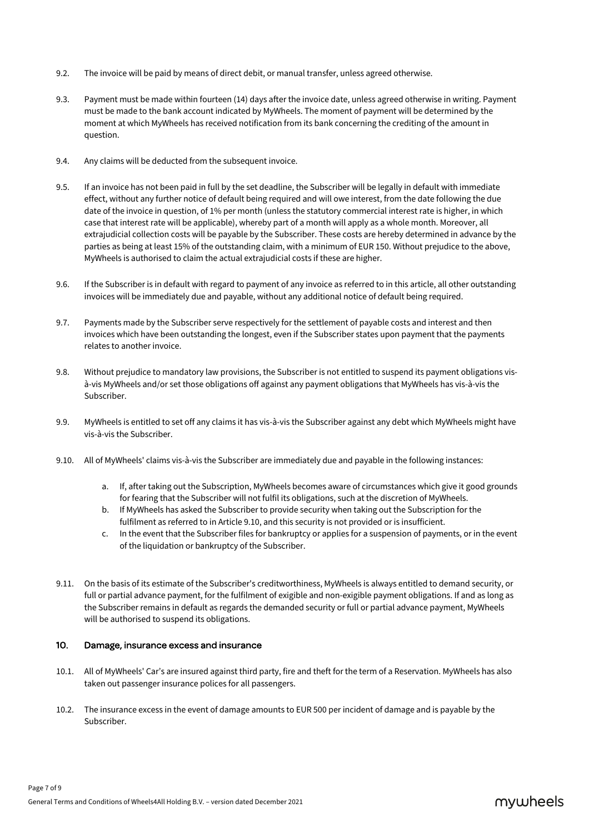- 9.2. The invoice will be paid by means of direct debit, or manual transfer, unless agreed otherwise.
- 9.3. Payment must be made within fourteen (14) days after the invoice date, unless agreed otherwise in writing. Payment must be made to the bank account indicated by MyWheels. The moment of payment will be determined by the moment at which MyWheels has received notification from its bank concerning the crediting of the amount in question.
- 9.4. Any claims will be deducted from the subsequent invoice.
- 9.5. If an invoice has not been paid in full by the set deadline, the Subscriber will be legally in default with immediate effect, without any further notice of default being required and will owe interest, from the date following the due date of the invoice in question, of 1% per month (unless the statutory commercial interest rate is higher, in which case that interest rate will be applicable), whereby part of a month will apply as a whole month. Moreover, all extrajudicial collection costs will be payable by the Subscriber. These costs are hereby determined in advance by the parties as being at least 15% of the outstanding claim, with a minimum of EUR 150. Without prejudice to the above, MyWheels is authorised to claim the actual extrajudicial costs if these are higher.
- 9.6. If the Subscriber is in default with regard to payment of any invoice as referred to in this article, all other outstanding invoices will be immediately due and payable, without any additional notice of default being required.
- 9.7. Payments made by the Subscriber serve respectively for the settlement of payable costs and interest and then invoices which have been outstanding the longest, even if the Subscriber states upon payment that the payments relates to another invoice.
- 9.8. Without prejudice to mandatory law provisions, the Subscriber is not entitled to suspend its payment obligations visà-vis MyWheels and/or set those obligations off against any payment obligations that MyWheels has vis-à-vis the Subscriber.
- 9.9. MyWheels is entitled to set off any claims it has vis-à-vis the Subscriber against any debt which MyWheels might have vis-à-vis the Subscriber.
- 9.10. All of MyWheels' claims vis-à-vis the Subscriber are immediately due and payable in the following instances:
	- a. If, after taking out the Subscription, MyWheels becomes aware of circumstances which give it good grounds for fearing that the Subscriber will not fulfil its obligations, such at the discretion of MyWheels.
	- b. If MyWheels has asked the Subscriber to provide security when taking out the Subscription for the fulfilment as referred to in Article 9.10, and this security is not provided or is insufficient.
	- c. In the event that the Subscriber files for bankruptcy or applies for a suspension of payments, or in the event of the liquidation or bankruptcy of the Subscriber.
- 9.11. On the basis of its estimate of the Subscriber's creditworthiness, MyWheels is always entitled to demand security, or full or partial advance payment, for the fulfilment of exigible and non-exigible payment obligations. If and as long as the Subscriber remains in default as regards the demanded security or full or partial advance payment, MyWheels will be authorised to suspend its obligations.

# 10. Damage, insurance excess and insurance

- 10.1. All of MyWheels' Car's are insured against third party, fire and theft for the term of a Reservation. MyWheels has also taken out passenger insurance polices for all passengers.
- 10.2. The insurance excess in the event of damage amounts to EUR 500 per incident of damage and is payable by the Subscriber.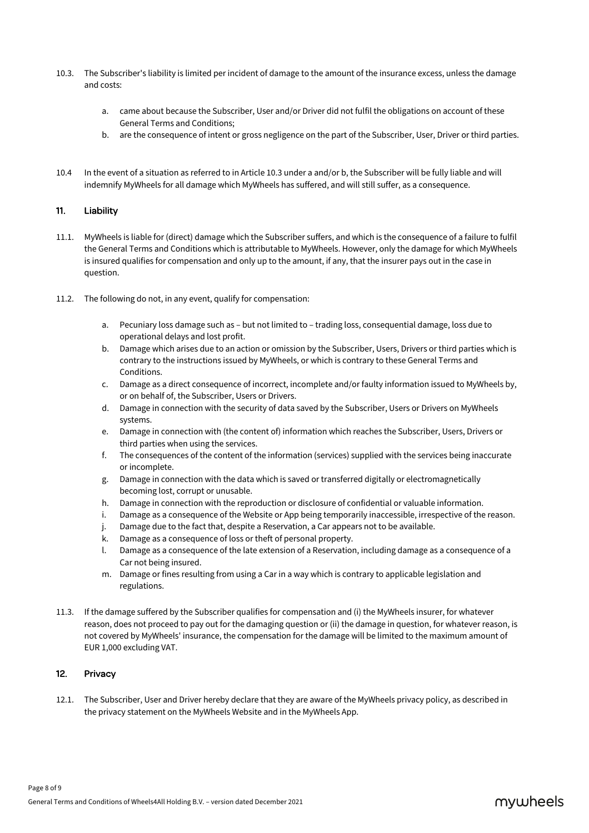- 10.3. The Subscriber's liability is limited per incident of damage to the amount of the insurance excess, unless the damage and costs:
	- a. came about because the Subscriber, User and/or Driver did not fulfil the obligations on account of these General Terms and Conditions;
	- b. are the consequence of intent or gross negligence on the part of the Subscriber, User, Driver or third parties.
- 10.4 In the event of a situation as referred to in Article 10.3 under a and/or b, the Subscriber will be fully liable and will indemnify MyWheels for all damage which MyWheels has suffered, and will still suffer, as a consequence.

# 11. Liability

- 11.1. MyWheels is liable for (direct) damage which the Subscriber suffers, and which is the consequence of a failure to fulfil the General Terms and Conditions which is attributable to MyWheels. However, only the damage for which MyWheels is insured qualifies for compensation and only up to the amount, if any, that the insurer pays out in the case in question.
- 11.2. The following do not, in any event, qualify for compensation:
	- a. Pecuniary loss damage such as but not limited to trading loss, consequential damage, loss due to operational delays and lost profit.
	- b. Damage which arises due to an action or omission by the Subscriber, Users, Drivers or third parties which is contrary to the instructions issued by MyWheels, or which is contrary to these General Terms and Conditions.
	- c. Damage as a direct consequence of incorrect, incomplete and/or faulty information issued to MyWheels by, or on behalf of, the Subscriber, Users or Drivers.
	- d. Damage in connection with the security of data saved by the Subscriber, Users or Drivers on MyWheels systems.
	- e. Damage in connection with (the content of) information which reaches the Subscriber, Users, Drivers or third parties when using the services.
	- f. The consequences of the content of the information (services) supplied with the services being inaccurate or incomplete.
	- g. Damage in connection with the data which is saved or transferred digitally or electromagnetically becoming lost, corrupt or unusable.
	- h. Damage in connection with the reproduction or disclosure of confidential or valuable information.
	- i. Damage as a consequence of the Website or App being temporarily inaccessible, irrespective of the reason.
	- j. Damage due to the fact that, despite a Reservation, a Car appears not to be available.
	- k. Damage as a consequence of loss or theft of personal property.
	- l. Damage as a consequence of the late extension of a Reservation, including damage as a consequence of a Car not being insured.
	- m. Damage or fines resulting from using a Car in a way which is contrary to applicable legislation and regulations.
- 11.3. If the damage suffered by the Subscriber qualifies for compensation and (i) the MyWheels insurer, for whatever reason, does not proceed to pay out for the damaging question or (ii) the damage in question, for whatever reason, is not covered by MyWheels' insurance, the compensation for the damage will be limited to the maximum amount of EUR 1,000 excluding VAT.

# 12. Privacy

12.1. The Subscriber, User and Driver hereby declare that they are aware of the MyWheels privacy policy, as described in the privacy statement on the MyWheels Website and in the MyWheels App.